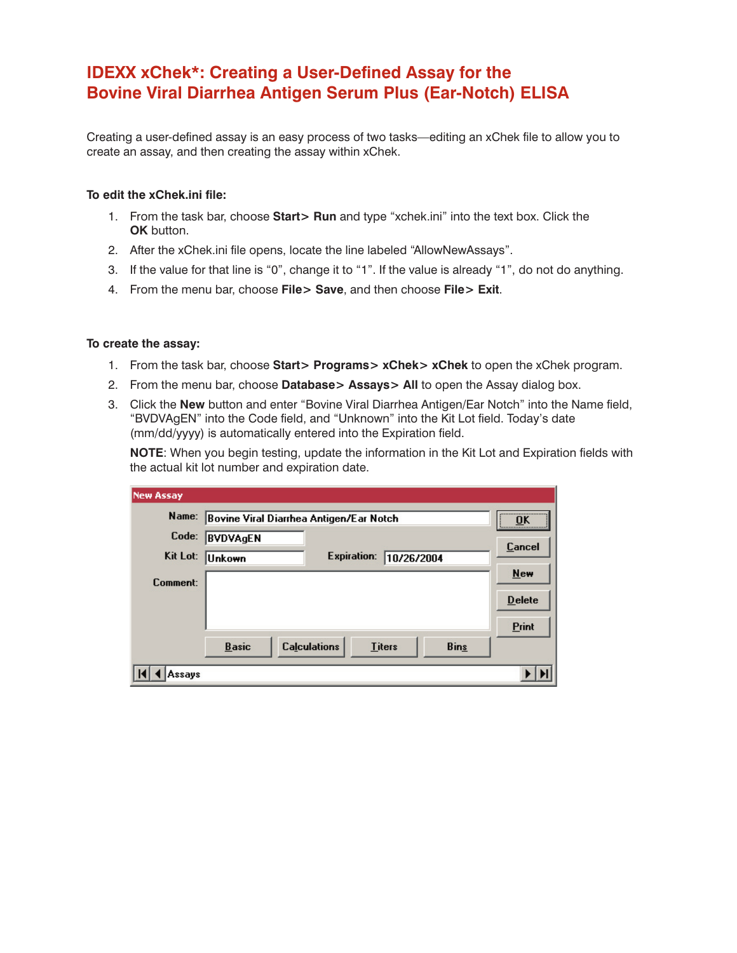# **IDEXX xChek\*: Creating a User-Defined Assay for the Bovine Viral Diarrhea Antigen Serum Plus (Ear-Notch) ELISA**

Creating a user-defined assay is an easy process of two tasks—editing an xChek file to allow you to create an assay, and then creating the assay within xChek.

## **To edit the xChek.ini file:**

- 1. From the task bar, choose **Start> Run** and type "xchek.ini" into the text box. Click the **OK** button.
- 2. After the xChek.ini file opens, locate the line labeled "AllowNewAssays".
- 3. If the value for that line is "0", change it to "1". If the value is already "1", do not do anything.
- 4. From the menu bar, choose **File> Save**, and then choose **File> Exit**.

# **To create the assay:**

- 1. From the task bar, choose **Start> Programs> xChek> xChek** to open the xChek program.
- 2. From the menu bar, choose **Database> Assays> All** to open the Assay dialog box.
- 3. Click the **New** button and enter "Bovine Viral Diarrhea Antigen/Ear Notch" into the Name field, "BVDVAgEN" into the Code field, and "Unknown" into the Kit Lot field. Today's date (mm/dd/yyyy) is automatically entered into the Expiration field.

**NOTE**: When you begin testing, update the information in the Kit Lot and Expiration fields with the actual kit lot number and expiration date.

| <b>New Assay</b> |                                                                     |               |
|------------------|---------------------------------------------------------------------|---------------|
| Name:            | Bovine Viral Diarrhea Antigen/Ear Notch                             | <br>          |
| Code:            | <b>BVDVAgEN</b>                                                     | Cancel        |
| Kit Lot:         | <b>Expiration:</b><br>10/26/2004<br>Unkown                          |               |
| Comment:         |                                                                     | New           |
|                  |                                                                     | <b>Delete</b> |
|                  |                                                                     | Print         |
|                  | <b>Calculations</b><br><b>Basic</b><br><b>Bins</b><br><b>Titers</b> |               |
| Assavs           |                                                                     |               |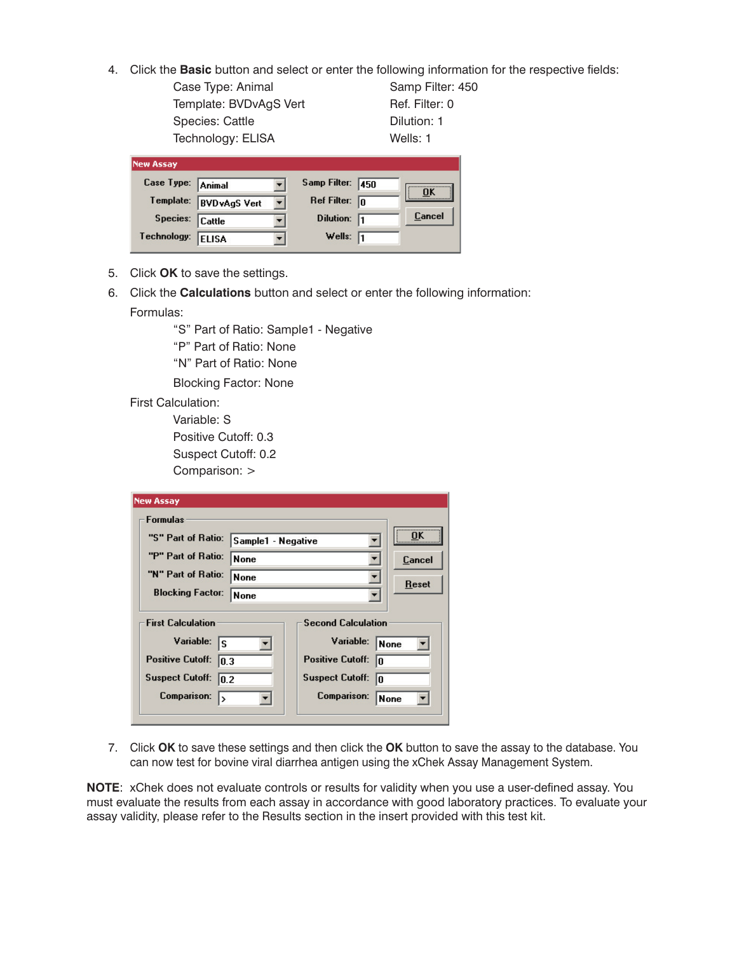- 4. Click the **Basic** button and select or enter the following information for the respective fields:
	- Case Type: Animal Samp Filter: 450 Template: BVDvAgS Vert Ref. Filter: 0 Species: Cattle **Dilution: 1** Technology: ELISA Wells: 1

| <b>New Assay</b>  |                      |   |                  |      |        |
|-------------------|----------------------|---|------------------|------|--------|
| Case Type: Animal |                      |   | Samp Filter:     | 1450 | OK     |
| Template:         | <b>BVD</b> vAgS Vert | ▼ | Ref Filter:      | lo   |        |
| Species:          | <b>Cattle</b>        |   | <b>Dilution:</b> |      | Cancel |
| Technology:       | <b>ELISA</b>         |   | Wells:           | 11   |        |

- 5. Click **OK** to save the settings.
- 6. Click the **Calculations** button and select or enter the following information: Formulas:

"S" Part of Ratio: Sample1 - Negative

- "P" Part of Ratio: None
- "N" Part of Ratio: None

Blocking Factor: None

- First Calculation:
	- Variable: S
	- Positive Cutoff: 0.3
	- Suspect Cutoff: 0.2

Comparison: >

| New Assay                                |                               |                 |
|------------------------------------------|-------------------------------|-----------------|
| <b>Formulas</b>                          |                               |                 |
| "S" Part of Ratio:<br>Sample1 - Negative |                               | ΠK              |
| "P" Part of Ratio:<br><b>None</b>        |                               | Cancel<br>Reset |
| "N" Part of Ratio:<br>None               |                               |                 |
| <b>Blocking Factor:</b><br><b>None</b>   |                               |                 |
| <b>First Calculation</b>                 | <b>Second Calculation</b>     |                 |
| Variable:<br>ls                          | Variable:<br><b>None</b>      |                 |
| <b>Positive Cutoff:</b><br>0.3           | <b>Positive Cutoff:</b><br>10 |                 |
| <b>Suspect Cutoff:</b><br>10.2           | <b>Suspect Cutoff:</b><br>10  |                 |
| <b>Comparison:</b><br>١>                 | Comparison:<br>None           |                 |

7. Click **OK** to save these settings and then click the **OK** button to save the assay to the database. You can now test for bovine viral diarrhea antigen using the xChek Assay Management System.

**NOTE**: xChek does not evaluate controls or results for validity when you use a user-defined assay. You must evaluate the results from each assay in accordance with good laboratory practices. To evaluate your assay validity, please refer to the Results section in the insert provided with this test kit.